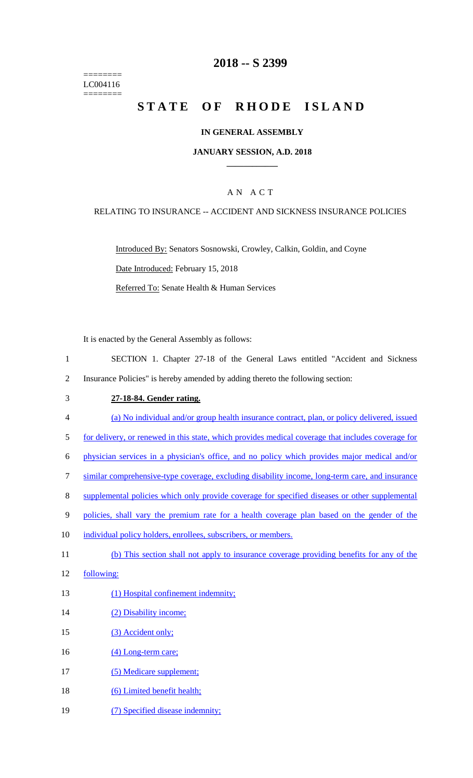======== LC004116 ========

## **2018 -- S 2399**

# STATE OF RHODE ISLAND

## **IN GENERAL ASSEMBLY**

## **JANUARY SESSION, A.D. 2018 \_\_\_\_\_\_\_\_\_\_\_\_**

## A N A C T

### RELATING TO INSURANCE -- ACCIDENT AND SICKNESS INSURANCE POLICIES

Introduced By: Senators Sosnowski, Crowley, Calkin, Goldin, and Coyne Date Introduced: February 15, 2018 Referred To: Senate Health & Human Services

It is enacted by the General Assembly as follows:

- 1 SECTION 1. Chapter 27-18 of the General Laws entitled "Accident and Sickness 2 Insurance Policies" is hereby amended by adding thereto the following section:
- 3 **27-18-84. Gender rating.**
- 4 (a) No individual and/or group health insurance contract, plan, or policy delivered, issued
- 5 for delivery, or renewed in this state, which provides medical coverage that includes coverage for
- 6 physician services in a physician's office, and no policy which provides major medical and/or
- 7 similar comprehensive-type coverage, excluding disability income, long-term care, and insurance
- 8 supplemental policies which only provide coverage for specified diseases or other supplemental
- 9 policies, shall vary the premium rate for a health coverage plan based on the gender of the
- 10 individual policy holders, enrollees, subscribers, or members.
- 11 (b) This section shall not apply to insurance coverage providing benefits for any of the
- 12 following:
- 13 (1) Hospital confinement indemnity;
- 14 (2) Disability income;
- 15 (3) Accident only;
- 16 (4) Long-term care;
- 17 (5) Medicare supplement;
- 18 (6) Limited benefit health;
- 19 (7) Specified disease indemnity;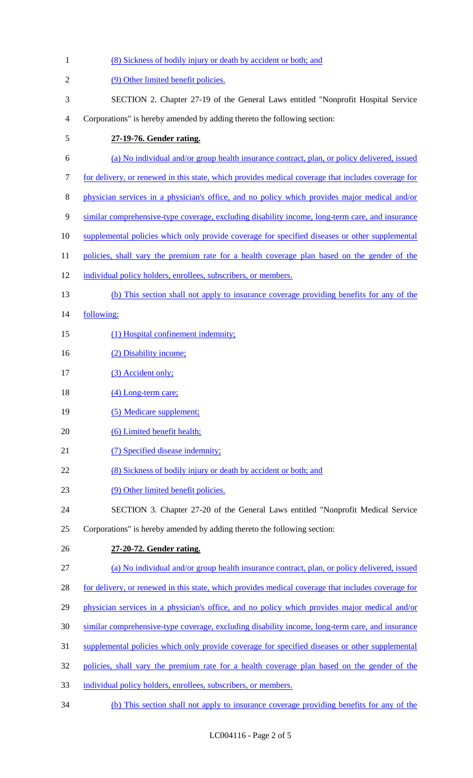(8) Sickness of bodily injury or death by accident or both; and 2 (9) Other limited benefit policies. SECTION 2. Chapter 27-19 of the General Laws entitled "Nonprofit Hospital Service Corporations" is hereby amended by adding thereto the following section: **27-19-76. Gender rating.** (a) No individual and/or group health insurance contract, plan, or policy delivered, issued for delivery, or renewed in this state, which provides medical coverage that includes coverage for physician services in a physician's office, and no policy which provides major medical and/or similar comprehensive-type coverage, excluding disability income, long-term care, and insurance supplemental policies which only provide coverage for specified diseases or other supplemental 11 policies, shall vary the premium rate for a health coverage plan based on the gender of the 12 individual policy holders, enrollees, subscribers, or members. (b) This section shall not apply to insurance coverage providing benefits for any of the following: 15 (1) Hospital confinement indemnity; 16 (2) Disability income; 17 (3) Accident only; 18 (4) Long-term care; 19 (5) Medicare supplement; 20 (6) Limited benefit health; 21 (7) Specified disease indemnity; 22 (8) Sickness of bodily injury or death by accident or both; and (9) Other limited benefit policies. SECTION 3. Chapter 27-20 of the General Laws entitled "Nonprofit Medical Service Corporations" is hereby amended by adding thereto the following section: **27-20-72. Gender rating.** (a) No individual and/or group health insurance contract, plan, or policy delivered, issued 28 for delivery, or renewed in this state, which provides medical coverage that includes coverage for physician services in a physician's office, and no policy which provides major medical and/or similar comprehensive-type coverage, excluding disability income, long-term care, and insurance 31 supplemental policies which only provide coverage for specified diseases or other supplemental policies, shall vary the premium rate for a health coverage plan based on the gender of the individual policy holders, enrollees, subscribers, or members. (b) This section shall not apply to insurance coverage providing benefits for any of the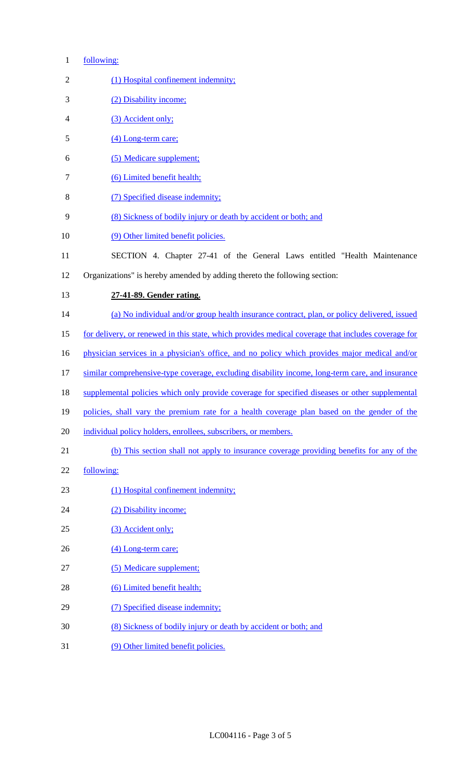## following:

| $\sqrt{2}$ | (1) Hospital confinement indemnity;                                                                |
|------------|----------------------------------------------------------------------------------------------------|
| 3          | (2) Disability income;                                                                             |
| 4          | (3) Accident only;                                                                                 |
| 5          | (4) Long-term care;                                                                                |
| 6          | (5) Medicare supplement;                                                                           |
| 7          | (6) Limited benefit health;                                                                        |
| $8\,$      | (7) Specified disease indemnity;                                                                   |
| 9          | (8) Sickness of bodily injury or death by accident or both; and                                    |
| 10         | (9) Other limited benefit policies.                                                                |
| 11         | SECTION 4. Chapter 27-41 of the General Laws entitled "Health Maintenance                          |
| 12         | Organizations" is hereby amended by adding thereto the following section:                          |
| 13         | 27-41-89. Gender rating.                                                                           |
| 14         | (a) No individual and/or group health insurance contract, plan, or policy delivered, issued        |
| 15         | for delivery, or renewed in this state, which provides medical coverage that includes coverage for |
| 16         | physician services in a physician's office, and no policy which provides major medical and/or      |
| 17         | similar comprehensive-type coverage, excluding disability income, long-term care, and insurance    |
| 18         | supplemental policies which only provide coverage for specified diseases or other supplemental     |
| 19         | policies, shall vary the premium rate for a health coverage plan based on the gender of the        |
| 20         | individual policy holders, enrollees, subscribers, or members.                                     |
| 21         | (b) This section shall not apply to insurance coverage providing benefits for any of the           |
| 22         | following:                                                                                         |
| 23         | (1) Hospital confinement indemnity;                                                                |
| 24         | (2) Disability income;                                                                             |
| 25         | (3) Accident only;                                                                                 |
| 26         | (4) Long-term care;                                                                                |
| 27         | (5) Medicare supplement;                                                                           |
| 28         | (6) Limited benefit health;                                                                        |
| 29         | (7) Specified disease indemnity;                                                                   |
| 30         | (8) Sickness of bodily injury or death by accident or both; and                                    |
| 31         | (9) Other limited benefit policies.                                                                |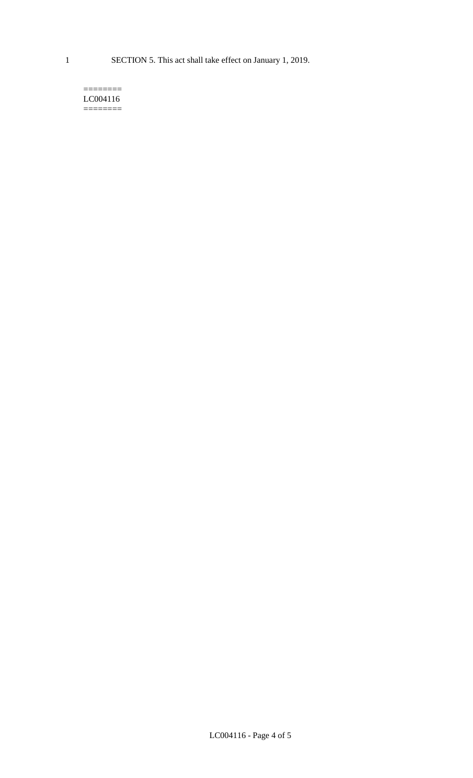#### $=$ LC004116 ========